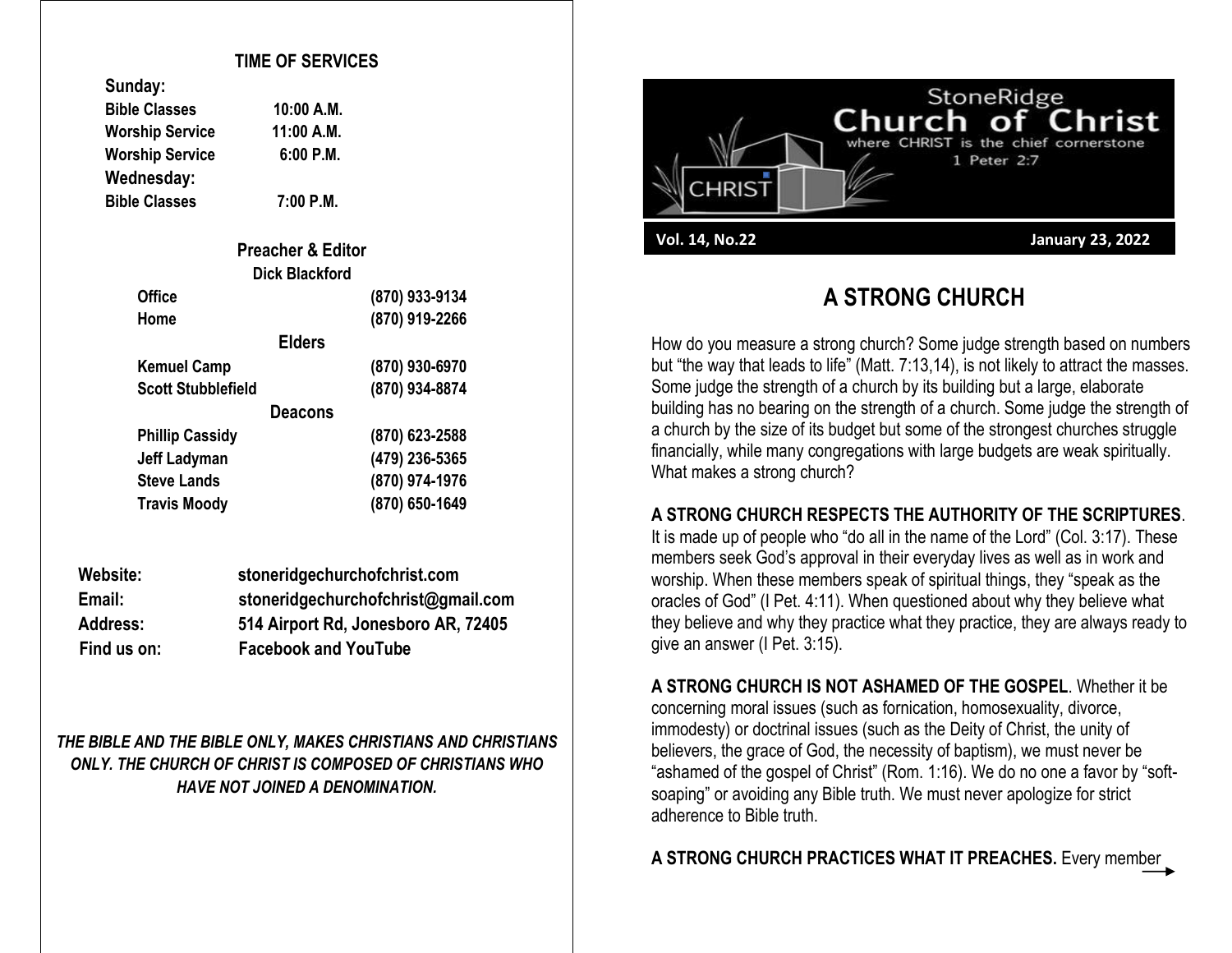#### **TIME OF SERVICES**

**Bible Classes 10:00 A.M. A.M. P.M.** 

| Sunday:                |           |
|------------------------|-----------|
| <b>Bible Classes</b>   | 10:00 A.M |
| <b>Worship Service</b> | 11:00 A.N |
| <b>Worship Service</b> | 6:00 P.N  |
| Wednesday:             |           |
| <b>Bible Classes</b>   | 7:00 P.M  |

**Sunday:**

**Bible Classes 7:00 P.M.**

| <b>Preacher &amp; Editor</b> |                |
|------------------------------|----------------|
| <b>Dick Blackford</b>        |                |
| <b>Office</b>                | (870) 933-9134 |
| Home                         | (870) 919-2266 |
| <b>Elders</b>                |                |
| <b>Kemuel Camp</b>           | (870) 930-6970 |
| <b>Scott Stubblefield</b>    | (870) 934-8874 |
| <b>Deacons</b>               |                |
| <b>Phillip Cassidy</b>       | (870) 623-2588 |
| Jeff Ladyman                 | (479) 236-5365 |
| <b>Steve Lands</b>           | (870) 974-1976 |
| <b>Travis Moody</b>          | (870) 650-1649 |

| Website:        | stoneridgechurchofchrist.com        |
|-----------------|-------------------------------------|
| Email:          | stoneridgechurchofchrist@gmail.com  |
| <b>Address:</b> | 514 Airport Rd, Jonesboro AR, 72405 |
| Find us on:     | <b>Facebook and YouTube</b>         |

*THE BIBLE AND THE BIBLE ONLY, MAKES CHRISTIANS AND CHRISTIANS ONLY. THE CHURCH OF CHRIST IS COMPOSED OF CHRISTIANS WHO HAVE NOT JOINED A DENOMINATION.*



# **A STRONG CHURCH**

How do you measure a strong church? Some judge strength based on numbers but "the way that leads to life" (Matt. 7:13,14), is not likely to attract the masses. Some judge the strength of a church by its building but a large, elaborate building has no bearing on the strength of a church. Some judge the strength of a church by the size of its budget but some of the strongest churches struggle financially, while many congregations with large budgets are weak spiritually. What makes a strong church?

#### **A STRONG CHURCH RESPECTS THE AUTHORITY OF THE SCRIPTURES**.

It is made up of people who "do all in the name of the Lord" (Col. 3:17). These members seek God's approval in their everyday lives as well as in work and worship. When these members speak of spiritual things, they "speak as the oracles of God" (I Pet. 4:11). When questioned about why they believe what they believe and why they practice what they practice, they are always ready to give an answer (I Pet. 3:15).

**A STRONG CHURCH IS NOT ASHAMED OF THE GOSPEL**. Whether it be concerning moral issues (such as fornication, homosexuality, divorce, immodesty) or doctrinal issues (such as the Deity of Christ, the unity of believers, the grace of God, the necessity of baptism), we must never be "ashamed of the gospel of Christ" (Rom. 1:16). We do no one a favor by "softsoaping" or avoiding any Bible truth. We must never apologize for strict adherence to Bible truth.

**A STRONG CHURCH PRACTICES WHAT IT PREACHES.** Every member